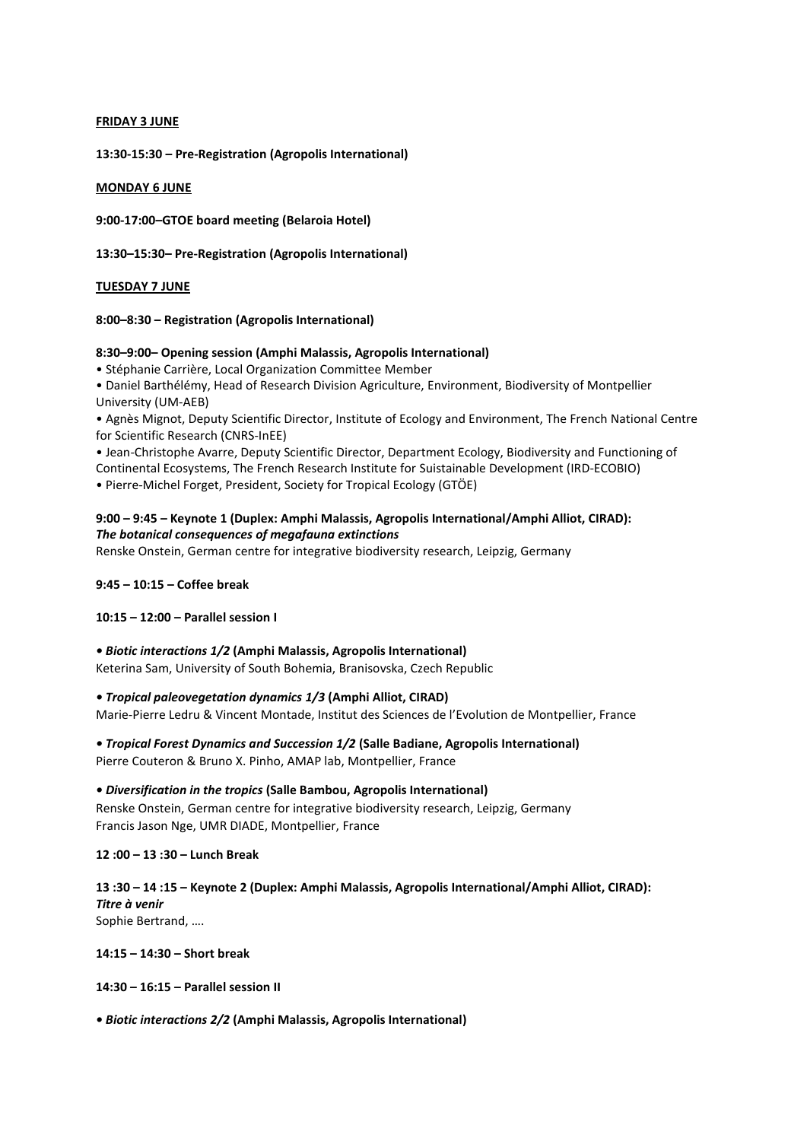#### **FRIDAY 3 JUNE**

**13:30-15:30 – Pre-Registration (Agropolis International)**

#### **MONDAY 6 JUNE**

**9:00-17:00–GTOE board meeting (Belaroia Hotel)**

**13:30–15:30– Pre-Registration (Agropolis International)**

#### **TUESDAY 7 JUNE**

#### **8:00–8:30 – Registration (Agropolis International)**

#### **8:30–9:00– Opening session (Amphi Malassis, Agropolis International)**

• Stéphanie Carrière, Local Organization Committee Member

• Daniel Barthélémy, Head of Research Division Agriculture, Environment, Biodiversity of Montpellier University (UM-AEB)

• Agnès Mignot, Deputy Scientific Director, Institute of Ecology and Environment, The French National Centre for Scientific Research (CNRS-InEE)

• Jean-Christophe Avarre, Deputy Scientific Director, Department Ecology, Biodiversity and Functioning of Continental Ecosystems, The French Research Institute for Suistainable Development (IRD-ECOBIO) • Pierre-Michel Forget, President, Society for Tropical Ecology (GTÖE)

**9:00 – 9:45 – Keynote 1 (Duplex: Amphi Malassis, Agropolis International/Amphi Alliot, CIRAD):**  *The botanical consequences of megafauna extinctions*

Renske Onstein, German centre for integrative biodiversity research, Leipzig, Germany

#### **9:45 – 10:15 – Coffee break**

#### **10:15 – 12:00 – Parallel session I**

*• Biotic interactions 1/2* **(Amphi Malassis, Agropolis International)** Keterina Sam, University of South Bohemia, Branisovska, Czech Republic

*• Tropical paleovegetation dynamics 1/3* **(Amphi Alliot, CIRAD)**

Marie-Pierre Ledru & Vincent Montade, Institut des Sciences de l'Evolution de Montpellier, France

*• Tropical Forest Dynamics and Succession 1/2* **(Salle Badiane, Agropolis International)**

Pierre Couteron & Bruno X. Pinho, AMAP lab, Montpellier, France

*• Diversification in the tropics* **(Salle Bambou, Agropolis International)**

Renske Onstein, German centre for integrative biodiversity research, Leipzig, Germany Francis Jason Nge, UMR DIADE, Montpellier, France

**12 :00 – 13 :30 – Lunch Break**

**13 :30 – 14 :15 – Keynote 2 (Duplex: Amphi Malassis, Agropolis International/Amphi Alliot, CIRAD):** *Titre à venir* Sophie Bertrand, ….

**14:15 – 14:30 – Short break**

**14:30 – 16:15 – Parallel session II**

*• Biotic interactions 2/2* **(Amphi Malassis, Agropolis International)**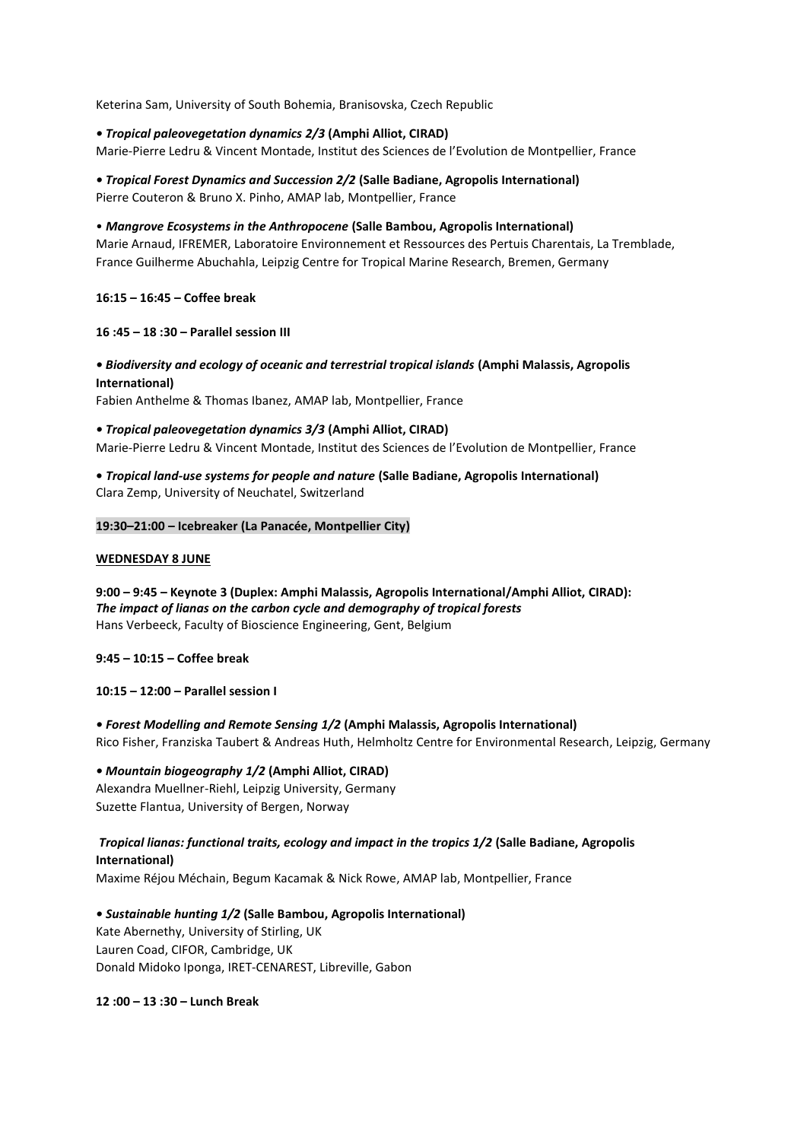Keterina Sam, University of South Bohemia, Branisovska, Czech Republic

#### *• Tropical paleovegetation dynamics 2/3* **(Amphi Alliot, CIRAD)**

Marie-Pierre Ledru & Vincent Montade, Institut des Sciences de l'Evolution de Montpellier, France

## *• Tropical Forest Dynamics and Succession 2/2* **(Salle Badiane, Agropolis International)**

Pierre Couteron & Bruno X. Pinho, AMAP lab, Montpellier, France

#### • *Mangrove Ecosystems in the Anthropocene* **(Salle Bambou, Agropolis International)**

Marie Arnaud, IFREMER, Laboratoire Environnement et Ressources des Pertuis Charentais, La Tremblade, France Guilherme Abuchahla, Leipzig Centre for Tropical Marine Research, Bremen, Germany

#### **16:15 – 16:45 – Coffee break**

#### **16 :45 – 18 :30 – Parallel session III**

## *• Biodiversity and ecology of oceanic and terrestrial tropical islands* **(Amphi Malassis, Agropolis International)**

Fabien Anthelme & Thomas Ibanez, AMAP lab, Montpellier, France

*• Tropical paleovegetation dynamics 3/3* **(Amphi Alliot, CIRAD)** Marie-Pierre Ledru & Vincent Montade, Institut des Sciences de l'Evolution de Montpellier, France

#### **•** *Tropical land-use systems for people and nature* **(Salle Badiane, Agropolis International)** Clara Zemp, University of Neuchatel, Switzerland

#### **19:30–21:00 – Icebreaker (La Panacée, Montpellier City)**

#### **WEDNESDAY 8 JUNE**

**9:00 – 9:45 – Keynote 3 (Duplex: Amphi Malassis, Agropolis International/Amphi Alliot, CIRAD):**  *The impact of lianas on the carbon cycle and demography of tropical forests* Hans Verbeeck, Faculty of Bioscience Engineering, Gent, Belgium

**9:45 – 10:15 – Coffee break**

#### **10:15 – 12:00 – Parallel session I**

#### *• Forest Modelling and Remote Sensing 1/2* **(Amphi Malassis, Agropolis International)** Rico Fisher, Franziska Taubert & Andreas Huth, Helmholtz Centre for Environmental Research, Leipzig, Germany

#### *• Mountain biogeography 1/2* **(Amphi Alliot, CIRAD)**

Alexandra Muellner-Riehl, Leipzig University, Germany Suzette Flantua, University of Bergen, Norway

## *Tropical lianas: functional traits, ecology and impact in the tropics 1/2* **(Salle Badiane, Agropolis International)**

Maxime Réjou Méchain, Begum Kacamak & Nick Rowe, AMAP lab, Montpellier, France

*• Sustainable hunting 1/2* **(Salle Bambou, Agropolis International)** Kate Abernethy, University of Stirling, UK Lauren Coad, CIFOR, Cambridge, UK Donald Midoko Iponga, IRET-CENAREST, Libreville, Gabon

**12 :00 – 13 :30 – Lunch Break**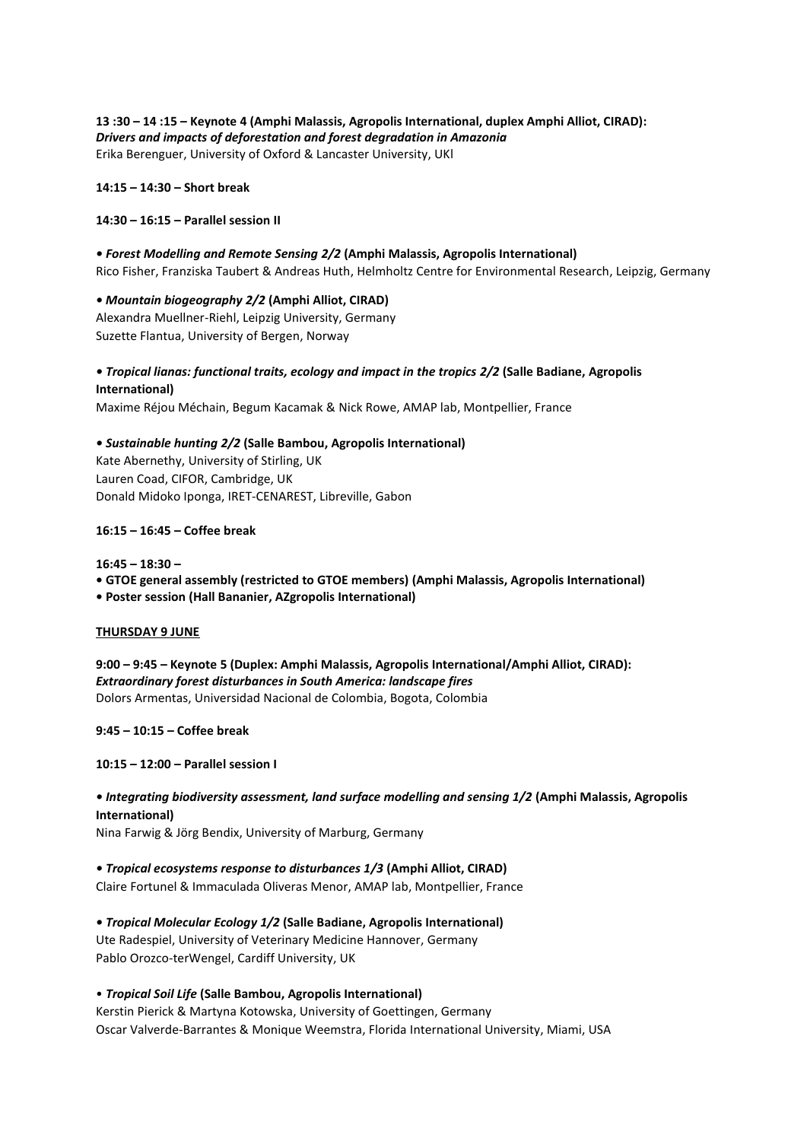**13 :30 – 14 :15 – Keynote 4 (Amphi Malassis, Agropolis International, duplex Amphi Alliot, CIRAD):** *Drivers and impacts of deforestation and forest degradation in Amazonia* Erika Berenguer, University of Oxford & Lancaster University, UKl

**14:15 – 14:30 – Short break**

#### **14:30 – 16:15 – Parallel session II**

*• Forest Modelling and Remote Sensing 2/2* **(Amphi Malassis, Agropolis International)** Rico Fisher, Franziska Taubert & Andreas Huth, Helmholtz Centre for Environmental Research, Leipzig, Germany

#### *• Mountain biogeography 2/2* **(Amphi Alliot, CIRAD)**

Alexandra Muellner-Riehl, Leipzig University, Germany Suzette Flantua, University of Bergen, Norway

## *• Tropical lianas: functional traits, ecology and impact in the tropics 2/2* **(Salle Badiane, Agropolis International)**

Maxime Réjou Méchain, Begum Kacamak & Nick Rowe, AMAP lab, Montpellier, France

#### *• Sustainable hunting 2/2* **(Salle Bambou, Agropolis International)**

Kate Abernethy, University of Stirling, UK Lauren Coad, CIFOR, Cambridge, UK Donald Midoko Iponga, IRET-CENAREST, Libreville, Gabon

#### **16:15 – 16:45 – Coffee break**

**16:45 – 18:30 – • GTOE general assembly (restricted to GTOE members) (Amphi Malassis, Agropolis International) • Poster session (Hall Bananier, AZgropolis International)**

#### **THURSDAY 9 JUNE**

**9:00 – 9:45 – Keynote 5 (Duplex: Amphi Malassis, Agropolis International/Amphi Alliot, CIRAD):**  *Extraordinary forest disturbances in South America: landscape fires* Dolors Armentas, Universidad Nacional de Colombia, Bogota, Colombia

**9:45 – 10:15 – Coffee break**

#### **10:15 – 12:00 – Parallel session I**

# *• Integrating biodiversity assessment, land surface modelling and sensing 1/2* **(Amphi Malassis, Agropolis International)**

Nina Farwig & Jörg Bendix, University of Marburg, Germany

#### *• Tropical ecosystems response to disturbances 1/3* **(Amphi Alliot, CIRAD)** Claire Fortunel & Immaculada Oliveras Menor, AMAP lab, Montpellier, France

*• Tropical Molecular Ecology 1/2* **(Salle Badiane, Agropolis International)** Ute Radespiel, University of Veterinary Medicine Hannover, Germany Pablo Orozco-terWengel, Cardiff University, UK

## • *Tropical Soil Life* **(Salle Bambou, Agropolis International)**

Kerstin Pierick & Martyna Kotowska, University of Goettingen, Germany Oscar Valverde-Barrantes & Monique Weemstra, Florida International University, Miami, USA